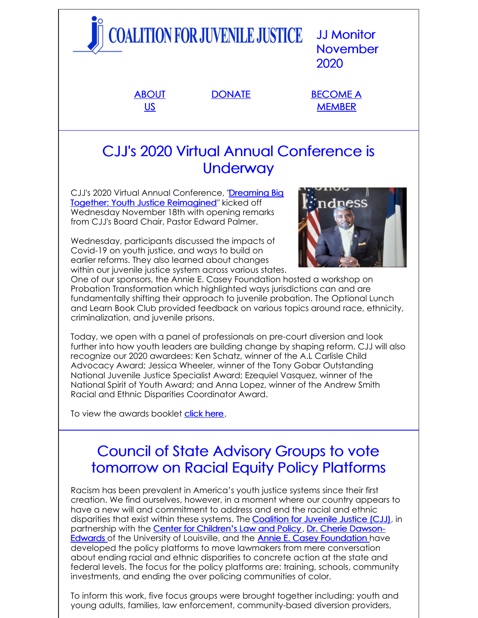|                                                            | <b>COALITION FOR JUVENILE JUSTICE</b> | <b>JJ Monitor</b><br><b>November</b><br>2020 |
|------------------------------------------------------------|---------------------------------------|----------------------------------------------|
| <b>ABOUT</b><br><u>US</u>                                  | <b>DONATE</b>                         | <b>BECOME A</b><br><b>MEMBER</b>             |
| CJJ's 2020 Virtual Annual Conference is<br><b>Underway</b> |                                       |                                              |

CJJ's 2020 Virtual Annual Conference, "Dreaming Big Together: Youth Justice [Reimagined"](http://www.juvjustice.org/events/conferences/2020-annual-conference-weve-gone-virtual) kicked off Wednesday November 18th with opening remarks from CJJ's Board Chair, Pastor Edward Palmer.

Wednesday, participants discussed the impacts of Covid-19 on youth justice, and ways to build on earlier reforms. They also learned about changes within our juvenile justice system across various states.



One of our sponsors, the Annie E. Casey Foundation hosted a workshop on Probation Transformation which highlighted ways jurisdictions can and are fundamentally shifting their approach to juvenile probation. The Optional Lunch and Learn Book Club provided feedback on various topics around race, ethnicity, criminalization, and juvenile prisons.

Today, we open with a panel of professionals on pre-court diversion and look further into how youth leaders are building change by shaping reform. CJJ will also recognize our 2020 awardees: Ken Schatz, winner of the A.L Carlisle Child Advocacy Award; Jessica Wheeler, winner of the Tony Gobar Outstanding National Juvenile Justice Specialist Award; Ezequiel Vasquez, winner of the National Spirit of Youth Award; and Anna Lopez, winner of the Andrew Smith Racial and Ethnic Disparities Coordinator Award.

To view the awards booklet [click](https://files.constantcontact.com/31e4a892301/21912b0a-0115-47e5-82fd-d26d3c04f8c2.pdf) here.

# Council of State Advisory Groups to vote tomorrow on Racial Equity Policy Platforms

Racism has been prevalent in America's youth justice systems since their first creation. We find ourselves, however, in a moment where our country appears to have a new will and commitment to address and end the racial and ethnic disparities that exist within these systems. The [Coalition](http://juvjustice.org) for Juvenile Justice (CJJ), in partnership with the Center for [Children's](https://www.cclp.org/) Law and Policy , Dr. Cherie Dawson-Edwards of the University of Louisville, and the Annie E. Casey [Foundation](http://louisville.edu/justice/about-us/faculty/cherie-dawson-edwards-vita) have developed the policy platforms to move lawmakers from mere conversation about ending racial and ethnic disparities to concrete action at the state and federal levels. The focus for the policy platforms are: training, schools, community investments, and ending the over policing communities of color.

To inform this work, five focus groups were brought together including: youth and young adults, families, law enforcement, community-based diversion providers,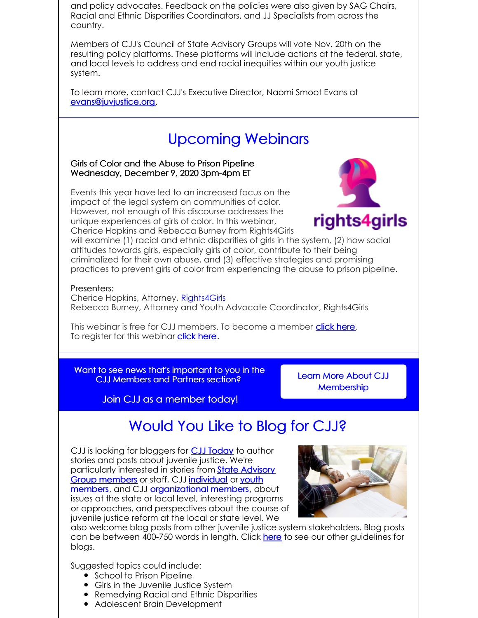and policy advocates. Feedback on the policies were also given by SAG Chairs, Racial and Ethnic Disparities Coordinators, and JJ Specialists from across the country.

Members of CJJ's Council of State Advisory Groups will vote Nov. 20th on the resulting policy platforms. These platforms will include actions at the federal, state, and local levels to address and end racial inequities within our youth justice system.

To learn more, contact CJJ's Executive Director, Naomi Smoot Evans at [evans@juvjustice.org](mailto:evans@juvjustice.org).

# Upcoming Webinars

Girls of Color and the Abuse to Prison Pipeline Wednesday, December 9, 2020 3pm-4pm ET

Events this year have led to an increased focus on the impact of the legal system on communities of color. However, not enough of this discourse addresses the unique experiences of girls of color. In this webinar, Cherice Hopkins and Rebecca Burney from Rights4Girls



will examine (1) racial and ethnic disparities of girls in the system, (2) how social attitudes towards girls, especially girls of color, contribute to their being criminalized for their own abuse, and (3) effective strategies and promising practices to prevent girls of color from experiencing the abuse to prison pipeline.

#### Presenters:

Cherice Hopkins, Attorney, [Rights4Girls](http://rights4girls.org/) Rebecca Burney, Attorney and Youth Advocate Coordinator, Rights4Girls

This webinar is free for CJJ members. To become a member [click](http://www.juvjustice.org/civicrm/contribute/transact?reset=1&id=2) here. To register for this webinar **[click](https://attendee.gotowebinar.com/register/6939729676696750091) here**.

Want to see news that's important to you in the CJJ Members and Partners section?

Learn More About CJJ **[Membership](http://juvjustice.org/about-us/members)** 

Join CJJ as a member today!

## Would You Like to Blog for CJJ?

CJJ is looking for bloggers for **CJJ [Today](http://www.juvjustice.org/blog)** to author stories and posts about juvenile justice. We're [particularly](http://www.juvjustice.org/about-us/state-advisory-group-members) interested in stories from **State Advisory** Group members or staff, CJJ [individual](http://juvjustice.org/about-us/members/individual-memberships) or youth members, and CJJ [organizational](http://juvjustice.org/youth-members) members, about issues at the state or local level, interesting programs or approaches, and perspectives about the course of juvenile justice reform at the local or state level. We



also welcome blog posts from other juvenile justice system stakeholders. Blog posts can be between 400-750 words in length. Click [here](http://files.constantcontact.com/31e4a892301/ae2fa24f-a0c7-4002-a04b-2d9a65ad104a.pdf) to see our other guidelines for blogs.

Suggested topics could include:

- School to Prison Pipeline
- Girls in the Juvenile Justice System
- Remedying Racial and Ethnic Disparities
- Adolescent Brain Development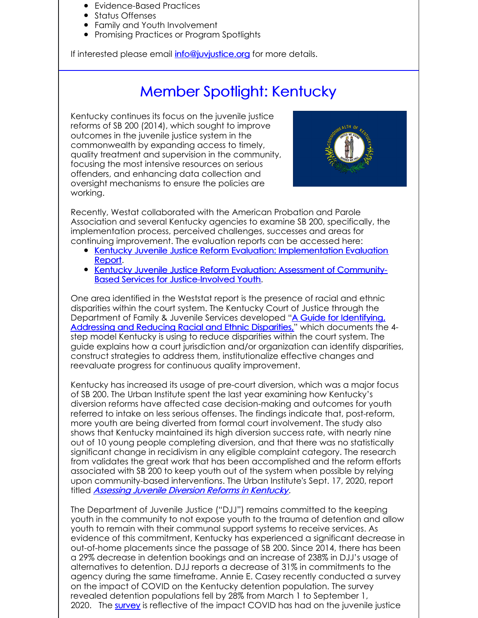- Evidence-Based Practices
- Status Offenses
- Family and Youth Involvement
- Promising Practices or Program Spotlights

If interested please email *[info@juvjustice.org](mailto:info@juvjustice.org)* for more details.

## Member Spotlight: Kentucky

Kentucky continues its focus on the juvenile justice reforms of SB 200 (2014), which sought to improve outcomes in the juvenile justice system in the commonwealth by expanding access to timely, quality treatment and supervision in the community, focusing the most intensive resources on serious offenders, and enhancing data collection and oversight mechanisms to ensure the policies are working.



Recently, Westat collaborated with the American Probation and Parole Association and several Kentucky agencies to examine SB 200, specifically, the implementation process, perceived challenges, successes and areas for continuing improvement. The evaluation reports can be accessed here:

- Kentucky Juvenile Justice Reform Evaluation: [Implementation](https://gcc01.safelinks.protection.outlook.com/?url=https%3A%2F%2Fmsp5.bigmarker.com%2Flinks%2Fl-1yx3tL1xV%2F2PR06vlCF%2FK4ZCz92hfR6%2FbgkGSGYMli%3Fredirect_to%3Dhttps%253A%252F%252Fwww.ncjrs.gov%252FApp%252FPublications%252Fabstract.aspx%253FID%253D277702&data=02%7C01%7Cashleyclark%40kycourts.net%7C274b6f81c36946ecf44b08d863c4e145%7C56e9b0b51da640f9ad00f944fd870af4%7C0%7C0%7C637369044551333771&sdata=VrNy8IxQTD%2B3lsZy2UKTkqzUyhjJ4KKTI%2BLgi1xx1SQ%3D&reserved=0) Evaluation Report.
- Kentucky Juvenile Justice Reform Evaluation: Assessment of Community-Based Services for [Justice-Involved](https://gcc01.safelinks.protection.outlook.com/?url=https%3A%2F%2Fmsp5.bigmarker.com%2Flinks%2Fl-1yx3tL1xV%2F2PR06vlCF%2FK4ZCz92hfR6%2FbgkGSGYMli%3Fredirect_to%3Dhttps%253A%252F%252Fwww.ncjrs.gov%252FApp%252FPublications%252Fabstract.aspx%253FID%253D277702&data=02%7C01%7Cashleyclark%40kycourts.net%7C274b6f81c36946ecf44b08d863c4e145%7C56e9b0b51da640f9ad00f944fd870af4%7C0%7C0%7C637369044551333771&sdata=VrNy8IxQTD%2B3lsZy2UKTkqzUyhjJ4KKTI%2BLgi1xx1SQ%3D&reserved=0) Youth.

One area identified in the Weststat report is the presence of racial and ethnic disparities within the court system. The Kentucky Court of Justice through the [Department](https://kycourts.gov/resources/publicationsresources/Publications/REDguide.pdf) of Family & Juvenile Services developed "A Guide for Identifying, Addressing and Reducing Racial and Ethnic Disparities," which documents the 4 step model Kentucky is using to reduce disparities within the court system. The guide explains how a court jurisdiction and/or organization can identify disparities, construct strategies to address them, institutionalize effective changes and reevaluate progress for continuous quality improvement.

Kentucky has increased its usage of pre-court diversion, which was a major focus of SB 200. The Urban Institute spent the last year examining how Kentucky's diversion reforms have affected case decision-making and outcomes for youth referred to intake on less serious offenses. The findings indicate that, post-reform, more youth are being diverted from formal court involvement. The study also shows that Kentucky maintained its high diversion success rate, with nearly nine out of 10 young people completing diversion, and that there was no statistically significant change in recidivism in any eligible complaint category. The research from validates the great work that has been accomplished and the reform efforts associated with SB 200 to keep youth out of the system when possible by relying upon community-based interventions. The Urban Institute's Sept. 17, 2020, report titled [Assessing](https://www.urban.org/research/publication/assessing-juvenile-diversion-reforms-kentucky) Juvenile Diversion Reforms in Kentucky.

The Department of Juvenile Justice ("DJJ") remains committed to the keeping youth in the community to not expose youth to the trauma of detention and allow youth to remain with their communal support systems to receive services. As evidence of this commitment, Kentucky has experienced a significant decrease in out-of-home placements since the passage of SB 200. Since 2014, there has been a 29% decrease in detention bookings and an increase of 238% in DJJ's usage of alternatives to detention. DJJ reports a decrease of 31% in commitments to the agency during the same timeframe. Annie E. Casey recently conducted a survey on the impact of COVID on the Kentucky detention population. The survey revealed detention populations fell by 28% from March 1 to September 1, 2020. The [survey](https://urldefense.proofpoint.com/v2/url?u=https-3A__www.aecf.org_blog_survey-2Damid-2Dpandemic-2Dyouth-2Ddetention-2Dpopulation-2Dfell-2D24-2Din-2Done-2Dmonth-2Dmatchi_&d=DwMCaQ&c=jvUANN7rYqzaQJvTqI-69lgi41yDEZ3CXTgIEaHlx7c&r=58js-eBUYmOMcGoYempPIuRyLHd6lSKm_8-JELcxozQ&m=KJQ9eTItblILWGCG4TCdUz7oNmXCWMhkVm0EDG_4yxs&s=yE3iamE0V2Ph-UDwoftf77NqREfr40pdBhaBVgv7LrI&e=) is reflective of the impact COVID has had on the juvenile justice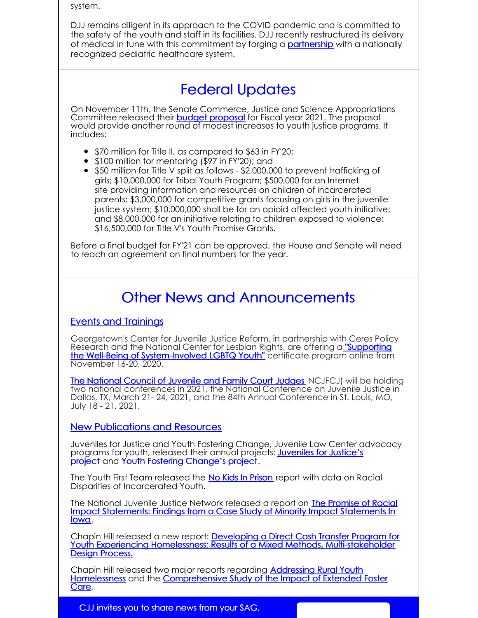system.

DJJ remains diligent in its approach to the COVID pandemic and is committed to the safety of the youth and staff in its facilities. DJJ recently restructured its delivery of medical in tune with this commitment by forging a **[partnership](https://kentucky.gov/Pages/Activity-stream.aspx?n=Justice&prId=17)** with a nationally recognized pediatric healthcare system.

# Federal Updates

On November 11th, the Senate Commerce, Justice and Science Appropriations Committee released their **budget [proposal](https://www.appropriations.senate.gov/imo/media/doc/CJSFY2021.pdf)** for Fiscal year 2021. The proposal would provide another round of modest increases to youth justice programs. It includes:

- \$70 million for Title II, as compared to \$63 in FY'20;
- \$100 million for mentoring (\$97 in FY'20); and
- \$50 million for Title V split as follows \$2,000,000 to prevent trafficking of girls; \$10,000,000 for Tribal Youth Program; \$500,000 for an Internet site providing information and resources on children of incarcerated parents; \$3,000,000 for competitive grants focusing on girls in the juvenile justice system; \$10,000,000 shall be for an opioid-affected youth initiative; and \$8,000,000 for an initiative relating to children exposed to violence; \$16,500,000 for Title V's Youth Promise Grants.

Before a final budget for FY'21 can be approved, the House and Senate will need to reach an agreement on final numbers for the year.

# Other News and Announcements

### Events and Trainings

Georgetown's Center for Juvenile Justice Reform, in partnership wit[h](https://georgetown.app.box.com/s/q905tl0ton33ppuoehjmghvpp1juit3d) Ceres Policy Research and the National Center for Lesbian Rights, are offering a "Supporting the Well-Being of [System-Involved](https://georgetown.app.box.com/s/q905tl0ton33ppuoehjmghvpp1juit3d) LGBTQ Youth" certificate program online from November 16-20, 2020.

**The [National](https://www.ncjfcj.org/) Council of Juvenile and Family Court Judges** NCJFCJ) will be holding two national conferences in 2021, the National Conference on Juvenile Justice in Dallas, TX, March 21- 24, 2021, and the 84th Annual Conference in St. Louis, MO, July 18 - 21, 2021.

New Publications and Resources

Juveniles for Justice and Youth Fostering Change, Juvenile Law Center advocacy programs for youth, released their annual projects: **Juveniles for Justice's** project and Youth Fostering [Change's](https://go.pardot.com/e/352231/-youth-juvenile-justice-system/djqzz/173353597?h=Yogb-uB-lDDcSXM-5sTwQ_5lzsfxCxu9IJ91eiYUQYU) project.

The Youth First Team released the No Kids In [Prison](https://www.nokidsinprison.org/explore/racial-disparity-of-incarcerated-youth) report with data on Racial Disparities of Incarcerated Youth.

The National Juvenile Justice Network released a report on **The Promise of Racial** Impact [Statements:](https://www.njjn.org/uploads/digital-library/thepromiseofracialimpactstatements_njjnoctober2020(small).pdf) Findings from a Case Study of Minority Impact Statements In Iowa.

Chapin Hill released a new report: Developing a Direct Cash Transfer Program for Youth Experiencing Homelessness: Results of a Mixed Methods, [Multi-stakeholder](https://www.chapinhall.org/research/direct-cash-transfers-program-can-help-youth-sustainably-exit-homelessness/) Design Process.

Chapin Hill released two major reports regarding Addressing Rural Youth Homelessness and the [Comprehensive](https://www.chapinhall.org/research/addressing-rural-youth-homelessness/) Study of the Impact of Extended Foster Care.

CJJ invites you to share news from your SAG,